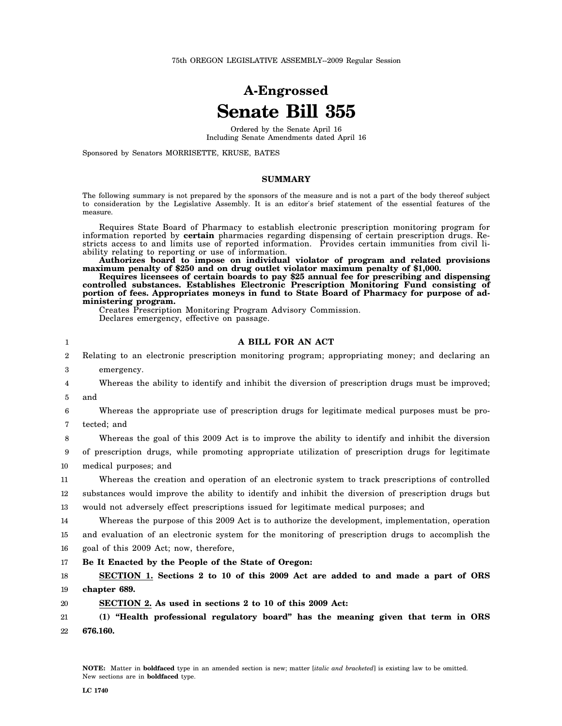75th OREGON LEGISLATIVE ASSEMBLY--2009 Regular Session

# **A-Engrossed Senate Bill 355**

Ordered by the Senate April 16 Including Senate Amendments dated April 16

Sponsored by Senators MORRISETTE, KRUSE, BATES

## **SUMMARY**

The following summary is not prepared by the sponsors of the measure and is not a part of the body thereof subject to consideration by the Legislative Assembly. It is an editor′s brief statement of the essential features of the measure.

Requires State Board of Pharmacy to establish electronic prescription monitoring program for information reported by **certain** pharmacies regarding dispensing of certain prescription drugs. Restricts access to and limits use of reported information. Provides certain immunities from civil liability relating to reporting or use of information.

**Authorizes board to impose on individual violator of program and related provisions maximum penalty of \$250 and on drug outlet violator maximum penalty of \$1,000.**

**Requires licensees of certain boards to pay \$25 annual fee for prescribing and dispensing controlled substances. Establishes Electronic Prescription Monitoring Fund consisting of portion of fees. Appropriates moneys in fund to State Board of Pharmacy for purpose of administering program.**

Creates Prescription Monitoring Program Advisory Commission. Declares emergency, effective on passage.

#### 1  $\mathfrak{D}$ 3 4 5 6 7 8 9 10 11 12 13 14 15 16 17 18 19 20 21 22 **A BILL FOR AN ACT** Relating to an electronic prescription monitoring program; appropriating money; and declaring an emergency. Whereas the ability to identify and inhibit the diversion of prescription drugs must be improved; and Whereas the appropriate use of prescription drugs for legitimate medical purposes must be protected; and Whereas the goal of this 2009 Act is to improve the ability to identify and inhibit the diversion of prescription drugs, while promoting appropriate utilization of prescription drugs for legitimate medical purposes; and Whereas the creation and operation of an electronic system to track prescriptions of controlled substances would improve the ability to identify and inhibit the diversion of prescription drugs but would not adversely effect prescriptions issued for legitimate medical purposes; and Whereas the purpose of this 2009 Act is to authorize the development, implementation, operation and evaluation of an electronic system for the monitoring of prescription drugs to accomplish the goal of this 2009 Act; now, therefore, **Be It Enacted by the People of the State of Oregon: SECTION 1. Sections 2 to 10 of this 2009 Act are added to and made a part of ORS chapter 689. SECTION 2. As used in sections 2 to 10 of this 2009 Act: (1) "Health professional regulatory board" has the meaning given that term in ORS 676.160.**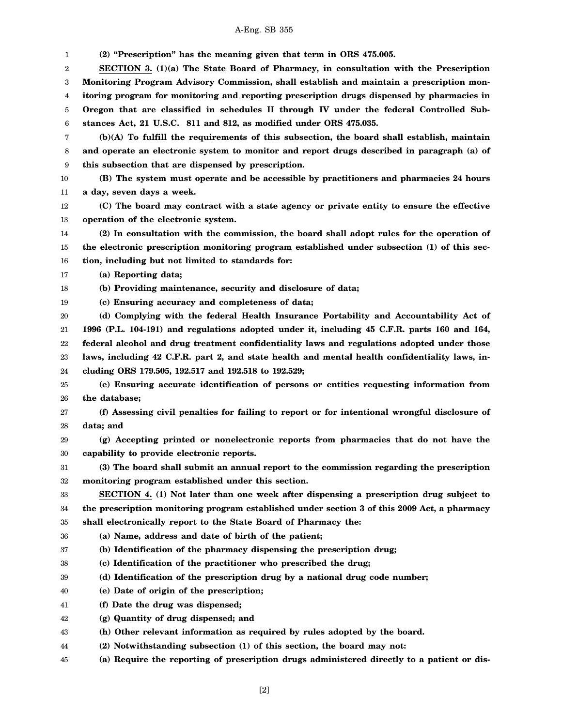## A-Eng. SB 355

1 2 3 4 5 6 7 8 9 10 11 12 13 14 15 16 17 18 19 20 21 22 23 24 25 26 27 28 29 30 31 32 33 34 35 36 37 38 39 40 41 42 43 44 45 **(2) "Prescription" has the meaning given that term in ORS 475.005. SECTION 3. (1)(a) The State Board of Pharmacy, in consultation with the Prescription Monitoring Program Advisory Commission, shall establish and maintain a prescription monitoring program for monitoring and reporting prescription drugs dispensed by pharmacies in Oregon that are classified in schedules II through IV under the federal Controlled Substances Act, 21 U.S.C. 811 and 812, as modified under ORS 475.035. (b)(A) To fulfill the requirements of this subsection, the board shall establish, maintain and operate an electronic system to monitor and report drugs described in paragraph (a) of this subsection that are dispensed by prescription. (B) The system must operate and be accessible by practitioners and pharmacies 24 hours a day, seven days a week. (C) The board may contract with a state agency or private entity to ensure the effective operation of the electronic system. (2) In consultation with the commission, the board shall adopt rules for the operation of the electronic prescription monitoring program established under subsection (1) of this section, including but not limited to standards for: (a) Reporting data; (b) Providing maintenance, security and disclosure of data; (c) Ensuring accuracy and completeness of data; (d) Complying with the federal Health Insurance Portability and Accountability Act of 1996 (P.L. 104-191) and regulations adopted under it, including 45 C.F.R. parts 160 and 164, federal alcohol and drug treatment confidentiality laws and regulations adopted under those laws, including 42 C.F.R. part 2, and state health and mental health confidentiality laws, including ORS 179.505, 192.517 and 192.518 to 192.529; (e) Ensuring accurate identification of persons or entities requesting information from the database; (f) Assessing civil penalties for failing to report or for intentional wrongful disclosure of data; and (g) Accepting printed or nonelectronic reports from pharmacies that do not have the capability to provide electronic reports. (3) The board shall submit an annual report to the commission regarding the prescription monitoring program established under this section. SECTION 4. (1) Not later than one week after dispensing a prescription drug subject to the prescription monitoring program established under section 3 of this 2009 Act, a pharmacy shall electronically report to the State Board of Pharmacy the: (a) Name, address and date of birth of the patient; (b) Identification of the pharmacy dispensing the prescription drug; (c) Identification of the practitioner who prescribed the drug; (d) Identification of the prescription drug by a national drug code number; (e) Date of origin of the prescription; (f) Date the drug was dispensed; (g) Quantity of drug dispensed; and (h) Other relevant information as required by rules adopted by the board. (2) Notwithstanding subsection (1) of this section, the board may not: (a) Require the reporting of prescription drugs administered directly to a patient or dis-**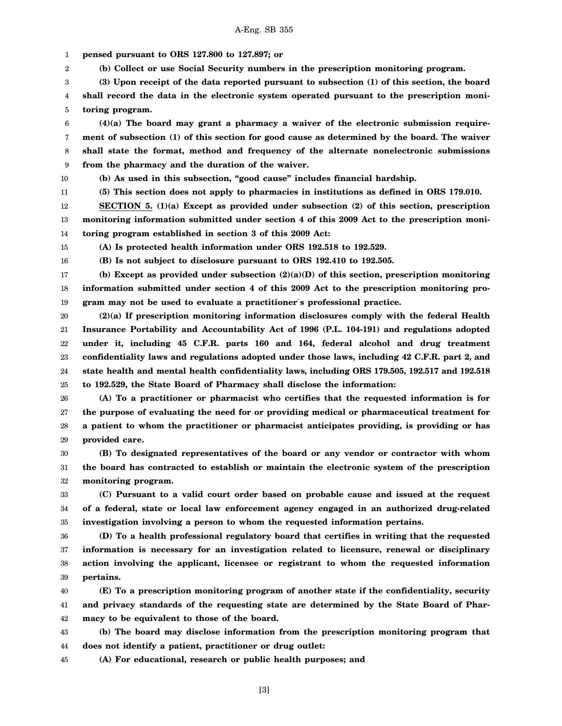A-Eng. SB 355

1 **pensed pursuant to ORS 127.800 to 127.897; or**

2 **(b) Collect or use Social Security numbers in the prescription monitoring program.**

3 4 **(3) Upon receipt of the data reported pursuant to subsection (1) of this section, the board shall record the data in the electronic system operated pursuant to the prescription moni-**

5 **toring program.**

6 7 8 9 **(4)(a) The board may grant a pharmacy a waiver of the electronic submission requirement of subsection (1) of this section for good cause as determined by the board. The waiver shall state the format, method and frequency of the alternate nonelectronic submissions from the pharmacy and the duration of the waiver.**

10

16

11 **(5) This section does not apply to pharmacies in institutions as defined in ORS 179.010.**

**(b) As used in this subsection, "good cause" includes financial hardship.**

12 **SECTION 5. (1)(a) Except as provided under subsection (2) of this section, prescription**

13 14 **monitoring information submitted under section 4 of this 2009 Act to the prescription monitoring program established in section 3 of this 2009 Act:**

15 **(A) Is protected health information under ORS 192.518 to 192.529.**

**(B) Is not subject to disclosure pursuant to ORS 192.410 to 192.505.**

17 18 19 **(b) Except as provided under subsection (2)(a)(D) of this section, prescription monitoring information submitted under section 4 of this 2009 Act to the prescription monitoring program may not be used to evaluate a practitioner**′**s professional practice.**

20 21 22 23 24 25 **(2)(a) If prescription monitoring information disclosures comply with the federal Health Insurance Portability and Accountability Act of 1996 (P.L. 104-191) and regulations adopted under it, including 45 C.F.R. parts 160 and 164, federal alcohol and drug treatment confidentiality laws and regulations adopted under those laws, including 42 C.F.R. part 2, and state health and mental health confidentiality laws, including ORS 179.505, 192.517 and 192.518 to 192.529, the State Board of Pharmacy shall disclose the information:**

26 27 28 29 **(A) To a practitioner or pharmacist who certifies that the requested information is for the purpose of evaluating the need for or providing medical or pharmaceutical treatment for a patient to whom the practitioner or pharmacist anticipates providing, is providing or has provided care.**

30 31 32 **(B) To designated representatives of the board or any vendor or contractor with whom the board has contracted to establish or maintain the electronic system of the prescription monitoring program.**

33 34 35 **(C) Pursuant to a valid court order based on probable cause and issued at the request of a federal, state or local law enforcement agency engaged in an authorized drug-related investigation involving a person to whom the requested information pertains.**

36 37 38 39 **(D) To a health professional regulatory board that certifies in writing that the requested information is necessary for an investigation related to licensure, renewal or disciplinary action involving the applicant, licensee or registrant to whom the requested information pertains.**

40 41 42 **(E) To a prescription monitoring program of another state if the confidentiality, security and privacy standards of the requesting state are determined by the State Board of Pharmacy to be equivalent to those of the board.**

43 44 **(b) The board may disclose information from the prescription monitoring program that does not identify a patient, practitioner or drug outlet:**

45 **(A) For educational, research or public health purposes; and**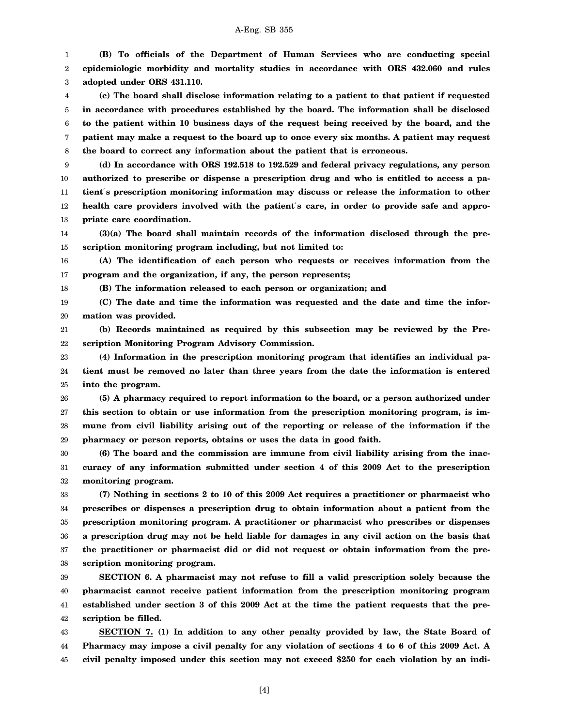1 2 3 **(B) To officials of the Department of Human Services who are conducting special epidemiologic morbidity and mortality studies in accordance with ORS 432.060 and rules adopted under ORS 431.110.**

4 5 6 7 8 **(c) The board shall disclose information relating to a patient to that patient if requested in accordance with procedures established by the board. The information shall be disclosed to the patient within 10 business days of the request being received by the board, and the patient may make a request to the board up to once every six months. A patient may request the board to correct any information about the patient that is erroneous.**

9 10 11 12 13 **(d) In accordance with ORS 192.518 to 192.529 and federal privacy regulations, any person authorized to prescribe or dispense a prescription drug and who is entitled to access a patient**′**s prescription monitoring information may discuss or release the information to other health care providers involved with the patient**′**s care, in order to provide safe and appropriate care coordination.**

14 15 **(3)(a) The board shall maintain records of the information disclosed through the prescription monitoring program including, but not limited to:**

16 17 **(A) The identification of each person who requests or receives information from the program and the organization, if any, the person represents;**

**(B) The information released to each person or organization; and**

18

19 20 **(C) The date and time the information was requested and the date and time the information was provided.**

21 22 **(b) Records maintained as required by this subsection may be reviewed by the Prescription Monitoring Program Advisory Commission.**

23 24 25 **(4) Information in the prescription monitoring program that identifies an individual patient must be removed no later than three years from the date the information is entered into the program.**

26 27 28 29 **(5) A pharmacy required to report information to the board, or a person authorized under this section to obtain or use information from the prescription monitoring program, is immune from civil liability arising out of the reporting or release of the information if the pharmacy or person reports, obtains or uses the data in good faith.**

30 31 32 **(6) The board and the commission are immune from civil liability arising from the inaccuracy of any information submitted under section 4 of this 2009 Act to the prescription monitoring program.**

33 34 35 36 37 38 **(7) Nothing in sections 2 to 10 of this 2009 Act requires a practitioner or pharmacist who prescribes or dispenses a prescription drug to obtain information about a patient from the prescription monitoring program. A practitioner or pharmacist who prescribes or dispenses a prescription drug may not be held liable for damages in any civil action on the basis that the practitioner or pharmacist did or did not request or obtain information from the prescription monitoring program.**

39 40 41 42 **SECTION 6. A pharmacist may not refuse to fill a valid prescription solely because the pharmacist cannot receive patient information from the prescription monitoring program established under section 3 of this 2009 Act at the time the patient requests that the prescription be filled.**

43 44 45 **SECTION 7. (1) In addition to any other penalty provided by law, the State Board of Pharmacy may impose a civil penalty for any violation of sections 4 to 6 of this 2009 Act. A civil penalty imposed under this section may not exceed \$250 for each violation by an indi-**

[4]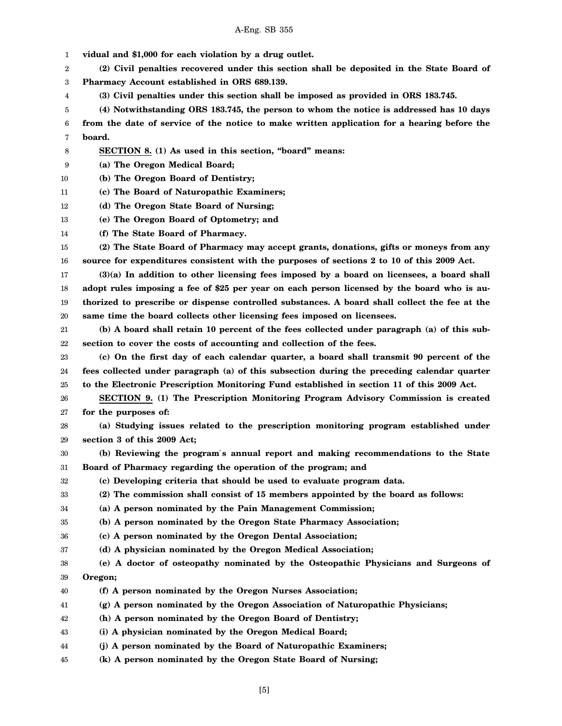1 **vidual and \$1,000 for each violation by a drug outlet.**

2 3 **(2) Civil penalties recovered under this section shall be deposited in the State Board of Pharmacy Account established in ORS 689.139.**

4 **(3) Civil penalties under this section shall be imposed as provided in ORS 183.745.**

5 6 7 **(4) Notwithstanding ORS 183.745, the person to whom the notice is addressed has 10 days from the date of service of the notice to make written application for a hearing before the board.**

- 8 **SECTION 8. (1) As used in this section, "board" means:**
- 9 **(a) The Oregon Medical Board;**
- 10 **(b) The Oregon Board of Dentistry;**
- 11 **(c) The Board of Naturopathic Examiners;**
- 12 **(d) The Oregon State Board of Nursing;**
- 13 **(e) The Oregon Board of Optometry; and**
- 14 **(f) The State Board of Pharmacy.**

15 16 **(2) The State Board of Pharmacy may accept grants, donations, gifts or moneys from any source for expenditures consistent with the purposes of sections 2 to 10 of this 2009 Act.**

17 18 19 20 **(3)(a) In addition to other licensing fees imposed by a board on licensees, a board shall adopt rules imposing a fee of \$25 per year on each person licensed by the board who is authorized to prescribe or dispense controlled substances. A board shall collect the fee at the same time the board collects other licensing fees imposed on licensees.**

21 22 **(b) A board shall retain 10 percent of the fees collected under paragraph (a) of this subsection to cover the costs of accounting and collection of the fees.**

23 24 25 **(c) On the first day of each calendar quarter, a board shall transmit 90 percent of the fees collected under paragraph (a) of this subsection during the preceding calendar quarter to the Electronic Prescription Monitoring Fund established in section 11 of this 2009 Act.**

26 27 **SECTION 9. (1) The Prescription Monitoring Program Advisory Commission is created for the purposes of:**

28 29 **(a) Studying issues related to the prescription monitoring program established under section 3 of this 2009 Act;**

30 31 **(b) Reviewing the program**′**s annual report and making recommendations to the State Board of Pharmacy regarding the operation of the program; and**

- 32 **(c) Developing criteria that should be used to evaluate program data.**
- 33 **(2) The commission shall consist of 15 members appointed by the board as follows:**
- 34 **(a) A person nominated by the Pain Management Commission;**
- 35 **(b) A person nominated by the Oregon State Pharmacy Association;**
- 36 **(c) A person nominated by the Oregon Dental Association;**
- 37 **(d) A physician nominated by the Oregon Medical Association;**
- 38 39 **(e) A doctor of osteopathy nominated by the Osteopathic Physicians and Surgeons of Oregon;**
- 40 **(f) A person nominated by the Oregon Nurses Association;**
- 41 **(g) A person nominated by the Oregon Association of Naturopathic Physicians;**
- 42 **(h) A person nominated by the Oregon Board of Dentistry;**
- 43 **(i) A physician nominated by the Oregon Medical Board;**
- 44 **(j) A person nominated by the Board of Naturopathic Examiners;**
- 45 **(k) A person nominated by the Oregon State Board of Nursing;**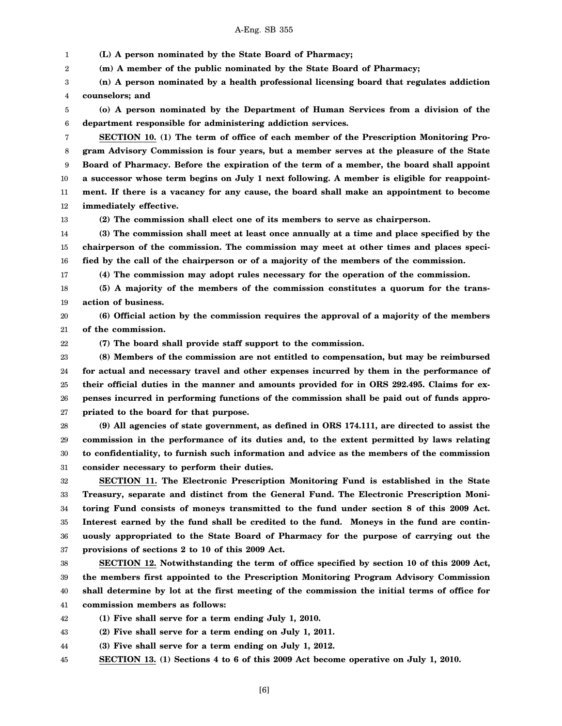1 2 3 4 5 6 7 8 9 10 11 12 13 14 15 **(L) A person nominated by the State Board of Pharmacy; (m) A member of the public nominated by the State Board of Pharmacy; (n) A person nominated by a health professional licensing board that regulates addiction counselors; and (o) A person nominated by the Department of Human Services from a division of the department responsible for administering addiction services. SECTION 10. (1) The term of office of each member of the Prescription Monitoring Program Advisory Commission is four years, but a member serves at the pleasure of the State Board of Pharmacy. Before the expiration of the term of a member, the board shall appoint a successor whose term begins on July 1 next following. A member is eligible for reappointment. If there is a vacancy for any cause, the board shall make an appointment to become immediately effective. (2) The commission shall elect one of its members to serve as chairperson. (3) The commission shall meet at least once annually at a time and place specified by the chairperson of the commission. The commission may meet at other times and places speci-**

16 **fied by the call of the chairperson or of a majority of the members of the commission.**

**(4) The commission may adopt rules necessary for the operation of the commission.**

18 19 **(5) A majority of the members of the commission constitutes a quorum for the transaction of business.**

20 21 **(6) Official action by the commission requires the approval of a majority of the members of the commission.**

**(7) The board shall provide staff support to the commission.**

17

22

23 24 25 26 27 **(8) Members of the commission are not entitled to compensation, but may be reimbursed for actual and necessary travel and other expenses incurred by them in the performance of their official duties in the manner and amounts provided for in ORS 292.495. Claims for expenses incurred in performing functions of the commission shall be paid out of funds appropriated to the board for that purpose.**

28 29 30 31 **(9) All agencies of state government, as defined in ORS 174.111, are directed to assist the commission in the performance of its duties and, to the extent permitted by laws relating to confidentiality, to furnish such information and advice as the members of the commission consider necessary to perform their duties.**

32 33 34 35 36 37 **SECTION 11. The Electronic Prescription Monitoring Fund is established in the State Treasury, separate and distinct from the General Fund. The Electronic Prescription Monitoring Fund consists of moneys transmitted to the fund under section 8 of this 2009 Act. Interest earned by the fund shall be credited to the fund. Moneys in the fund are continuously appropriated to the State Board of Pharmacy for the purpose of carrying out the provisions of sections 2 to 10 of this 2009 Act.**

38 39 40 41 **SECTION 12. Notwithstanding the term of office specified by section 10 of this 2009 Act, the members first appointed to the Prescription Monitoring Program Advisory Commission shall determine by lot at the first meeting of the commission the initial terms of office for commission members as follows:**

42 **(1) Five shall serve for a term ending July 1, 2010.**

43 **(2) Five shall serve for a term ending on July 1, 2011.**

44 **(3) Five shall serve for a term ending on July 1, 2012.**

45 **SECTION 13. (1) Sections 4 to 6 of this 2009 Act become operative on July 1, 2010.**